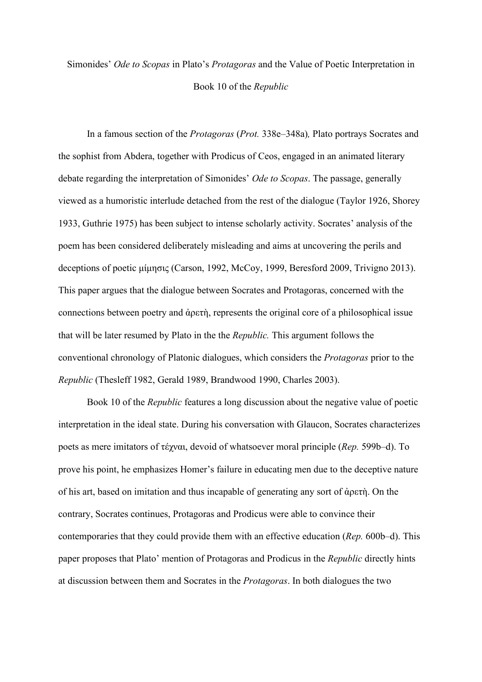## Simonides' *Ode to Scopas* in Plato's *Protagoras* and the Value of Poetic Interpretation in Book 10 of the *Republic*

In a famous section of the *Protagoras* (*Prot.* 338e–348a)*,* Plato portrays Socrates and the sophist from Abdera, together with Prodicus of Ceos, engaged in an animated literary debate regarding the interpretation of Simonides' *Ode to Scopas*. The passage, generally viewed as a humoristic interlude detached from the rest of the dialogue (Taylor 1926, Shorey 1933, Guthrie 1975) has been subject to intense scholarly activity. Socrates' analysis of the poem has been considered deliberately misleading and aims at uncovering the perils and deceptions of poetic μίμησις (Carson, 1992, McCoy, 1999, Beresford 2009, Trivigno 2013). This paper argues that the dialogue between Socrates and Protagoras, concerned with the connections between poetry and ἀρετὴ, represents the original core of a philosophical issue that will be later resumed by Plato in the the *Republic.* This argument follows the conventional chronology of Platonic dialogues, which considers the *Protagoras* prior to the *Republic* (Thesleff 1982, Gerald 1989, Brandwood 1990, Charles 2003).

Book 10 of the *Republic* features a long discussion about the negative value of poetic interpretation in the ideal state. During his conversation with Glaucon, Socrates characterizes poets as mere imitators of τέχναι, devoid of whatsoever moral principle (*Rep.* 599b–d). To prove his point, he emphasizes Homer's failure in educating men due to the deceptive nature of his art, based on imitation and thus incapable of generating any sort of ἀρετὴ. On the contrary, Socrates continues, Protagoras and Prodicus were able to convince their contemporaries that they could provide them with an effective education (*Rep.* 600b–d). This paper proposes that Plato' mention of Protagoras and Prodicus in the *Republic* directly hints at discussion between them and Socrates in the *Protagoras*. In both dialogues the two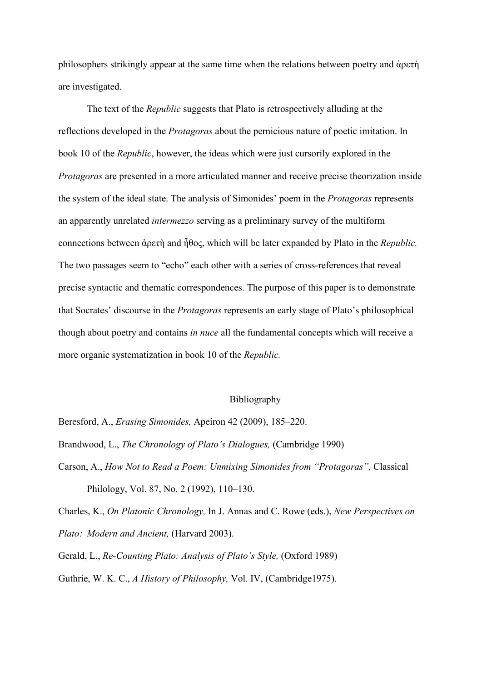philosophers strikingly appear at the same time when the relations between poetry and ἀρετὴ are investigated.

The text of the *Republic* suggests that Plato is retrospectively alluding at the reflections developed in the *Protagoras* about the pernicious nature of poetic imitation. In book 10 of the *Republic*, however, the ideas which were just cursorily explored in the *Protagoras* are presented in a more articulated manner and receive precise theorization inside the system of the ideal state. The analysis of Simonides' poem in the *Protagoras* represents an apparently unrelated *intermezzo* serving as a preliminary survey of the multiform connections between ἀρετὴ and ἦθος, which will be later expanded by Plato in the *Republic.*  The two passages seem to "echo" each other with a series of cross-references that reveal precise syntactic and thematic correspondences. The purpose of this paper is to demonstrate that Socrates' discourse in the *Protagoras* represents an early stage of Plato's philosophical though about poetry and contains *in nuce* all the fundamental concepts which will receive a more organic systematization in book 10 of the *Republic.* 

## Bibliography

Beresford, A., *Erasing Simonides,* Apeiron 42 (2009), 185–220.

Brandwood, L., *The Chronology of Plato's Dialogues,* (Cambridge 1990)

Carson, A., *How Not to Read a Poem: Unmixing Simonides from "Protagoras",* Classical Philology, Vol. 87, No. 2 (1992), 110–130.

Charles, K., *On Platonic Chronology,* In J. Annas and C. Rowe (eds.), *New Perspectives on Plato: Modern and Ancient,* (Harvard 2003).

Gerald, L., *Re-Counting Plato: Analysis of Plato's Style,* (Oxford 1989) Guthrie, W. K. C., *A History of Philosophy,* Vol. IV, (Cambridge1975).